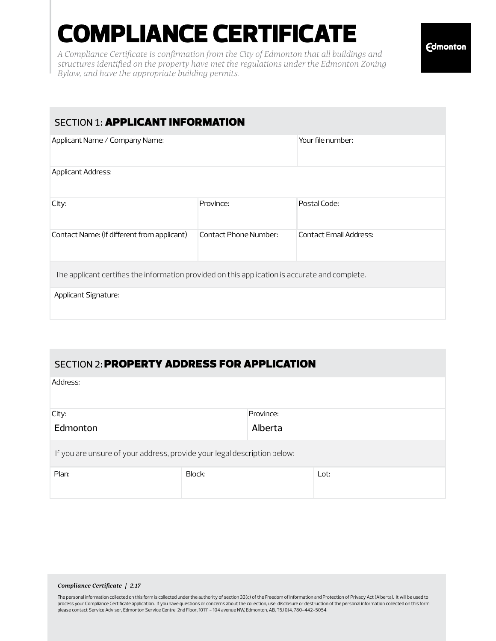# COMPLIANCE CERTIFICATE

*A Compliance Certificate is confirmation from the City of Edmonton that all buildings and structures identified on the property have met the regulations under the Edmonton Zoning Bylaw, and have the appropriate building permits.*

## **SECTION 1: APPLICANT INFORMATION** Applicant Name / Company Name: The applicant certifies the information provided on this application is accurate and complete. Applicant Address: Applicant Signature: City: Contact Name: (if different from applicant) Contact Phone Number: Contact Email Address: Province: Postal Code: Your file number:

#### SECTION 2: **PROPERTY ADDRESS FOR APPLICATION**

| Address:                                                                 |        |           |      |  |  |  |
|--------------------------------------------------------------------------|--------|-----------|------|--|--|--|
| City:                                                                    |        | Province: |      |  |  |  |
| Edmonton                                                                 |        | Alberta   |      |  |  |  |
| If you are unsure of your address, provide your legal description below: |        |           |      |  |  |  |
| Plan:                                                                    | Block: |           | Lot: |  |  |  |
|                                                                          |        |           |      |  |  |  |

#### *Compliance Certificate | 2.17*

The personal information collected on this form is collected under the authority of section 33(c) of the Freedom of Information and Protection of Privacy Act (Alberta). It will be used to process your Compliance Certificate application. If you have questions or concerns about the collection, use, disclosure or destruction of the personal information collected on this form, please contact Service Advisor, Edmonton Service Centre, 2nd Floor, 10111 - 104 avenue NW, Edmonton, AB, T5J 0J4, 780-442-5054.